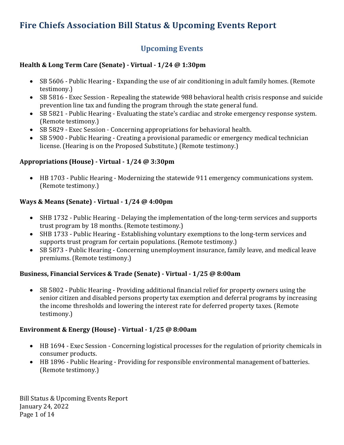# **Fire Chiefs Association Bill Status & Upcoming Events Report**

# **Upcoming Events**

## **Health & Long Term Care (Senate) - Virtual - 1/24 @ 1:30pm**

- SB 5606 Public Hearing Expanding the use of air conditioning in adult family homes. (Remote testimony.)
- SB 5816 Exec Session Repealing the statewide 988 behavioral health crisis response and suicide prevention line tax and funding the program through the state general fund.
- SB 5821 Public Hearing Evaluating the state's cardiac and stroke emergency response system. (Remote testimony.)
- SB 5829 Exec Session Concerning appropriations for behavioral health.
- SB 5900 Public Hearing Creating a provisional paramedic or emergency medical technician license. (Hearing is on the Proposed Substitute.) (Remote testimony.)

## **Appropriations (House) - Virtual - 1/24 @ 3:30pm**

• HB 1703 - Public Hearing - Modernizing the statewide 911 emergency communications system. (Remote testimony.)

### **Ways & Means (Senate) - Virtual - 1/24 @ 4:00pm**

- SHB 1732 Public Hearing Delaying the implementation of the long-term services and supports trust program by 18 months. (Remote testimony.)
- SHB 1733 Public Hearing Establishing voluntary exemptions to the long-term services and supports trust program for certain populations. (Remote testimony.)
- SB 5873 Public Hearing Concerning unemployment insurance, family leave, and medical leave premiums. (Remote testimony.)

## **Business, Financial Services & Trade (Senate) - Virtual - 1/25 @ 8:00am**

• SB 5802 - Public Hearing - Providing additional financial relief for property owners using the senior citizen and disabled persons property tax exemption and deferral programs by increasing the income thresholds and lowering the interest rate for deferred property taxes. (Remote testimony.)

#### **Environment & Energy (House) - Virtual - 1/25 @ 8:00am**

- HB 1694 Exec Session Concerning logistical processes for the regulation of priority chemicals in consumer products.
- HB 1896 Public Hearing Providing for responsible environmental management of batteries. (Remote testimony.)

Bill Status & Upcoming Events Report January 24, 2022 Page 1 of 14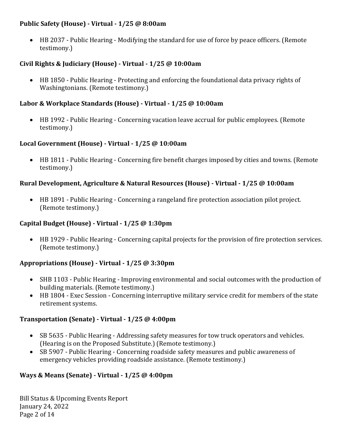#### **Public Safety (House) - Virtual - 1/25 @ 8:00am**

• HB 2037 - Public Hearing - Modifying the standard for use of force by peace officers. (Remote testimony.)

## **Civil Rights & Judiciary (House) - Virtual - 1/25 @ 10:00am**

• HB 1850 - Public Hearing - Protecting and enforcing the foundational data privacy rights of Washingtonians. (Remote testimony.)

### **Labor & Workplace Standards (House) - Virtual - 1/25 @ 10:00am**

• HB 1992 - Public Hearing - Concerning vacation leave accrual for public employees. (Remote testimony.)

#### **Local Government (House) - Virtual - 1/25 @ 10:00am**

• HB 1811 - Public Hearing - Concerning fire benefit charges imposed by cities and towns. (Remote testimony.)

### **Rural Development, Agriculture & Natural Resources (House) - Virtual - 1/25 @ 10:00am**

• HB 1891 - Public Hearing - Concerning a rangeland fire protection association pilot project. (Remote testimony.)

#### **Capital Budget (House) - Virtual - 1/25 @ 1:30pm**

• HB 1929 - Public Hearing - Concerning capital projects for the provision of fire protection services. (Remote testimony.)

#### **Appropriations (House) - Virtual - 1/25 @ 3:30pm**

- SHB 1103 Public Hearing Improving environmental and social outcomes with the production of building materials. (Remote testimony.)
- HB 1804 Exec Session Concerning interruptive military service credit for members of the state retirement systems.

#### **Transportation (Senate) - Virtual - 1/25 @ 4:00pm**

- SB 5635 Public Hearing Addressing safety measures for tow truck operators and vehicles. (Hearing is on the Proposed Substitute.) (Remote testimony.)
- SB 5907 Public Hearing Concerning roadside safety measures and public awareness of emergency vehicles providing roadside assistance. (Remote testimony.)

#### **Ways & Means (Senate) - Virtual - 1/25 @ 4:00pm**

Bill Status & Upcoming Events Report January 24, 2022 Page 2 of 14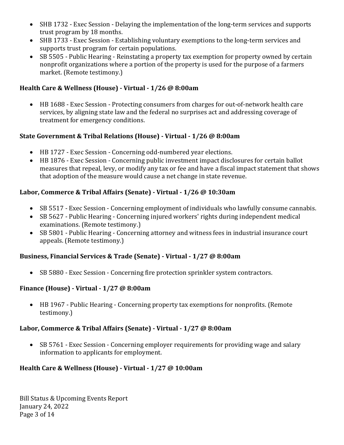- SHB 1732 Exec Session Delaying the implementation of the long-term services and supports trust program by 18 months.
- SHB 1733 Exec Session Establishing voluntary exemptions to the long-term services and supports trust program for certain populations.
- SB 5505 Public Hearing Reinstating a property tax exemption for property owned by certain nonprofit organizations where a portion of the property is used for the purpose of a farmers market. (Remote testimony.)

## **Health Care & Wellness (House) - Virtual - 1/26 @ 8:00am**

• HB 1688 - Exec Session - Protecting consumers from charges for out-of-network health care services, by aligning state law and the federal no surprises act and addressing coverage of treatment for emergency conditions.

# **State Government & Tribal Relations (House) - Virtual - 1/26 @ 8:00am**

- HB 1727 Exec Session Concerning odd-numbered year elections.
- HB 1876 Exec Session Concerning public investment impact disclosures for certain ballot measures that repeal, levy, or modify any tax or fee and have a fiscal impact statement that shows that adoption of the measure would cause a net change in state revenue.

# **Labor, Commerce & Tribal Affairs (Senate) - Virtual - 1/26 @ 10:30am**

- SB 5517 Exec Session Concerning employment of individuals who lawfully consume cannabis.
- SB 5627 Public Hearing Concerning injured workers' rights during independent medical examinations. (Remote testimony.)
- SB 5801 Public Hearing Concerning attorney and witness fees in industrial insurance court appeals. (Remote testimony.)

## **Business, Financial Services & Trade (Senate) - Virtual - 1/27 @ 8:00am**

• SB 5880 - Exec Session - Concerning fire protection sprinkler system contractors.

## **Finance (House) - Virtual - 1/27 @ 8:00am**

• HB 1967 - Public Hearing - Concerning property tax exemptions for nonprofits. (Remote testimony.)

## **Labor, Commerce & Tribal Affairs (Senate) - Virtual - 1/27 @ 8:00am**

• SB 5761 - Exec Session - Concerning employer requirements for providing wage and salary information to applicants for employment.

# **Health Care & Wellness (House) - Virtual - 1/27 @ 10:00am**

Bill Status & Upcoming Events Report January 24, 2022 Page 3 of 14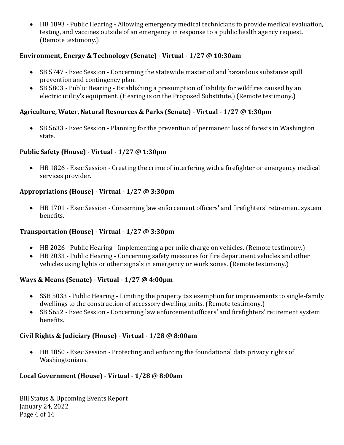• HB 1893 - Public Hearing - Allowing emergency medical technicians to provide medical evaluation, testing, and vaccines outside of an emergency in response to a public health agency request. (Remote testimony.)

### **Environment, Energy & Technology (Senate) - Virtual - 1/27 @ 10:30am**

- SB 5747 Exec Session Concerning the statewide master oil and hazardous substance spill prevention and contingency plan.
- SB 5803 Public Hearing Establishing a presumption of liability for wildfires caused by an electric utility's equipment. (Hearing is on the Proposed Substitute.) (Remote testimony.)

### **Agriculture, Water, Natural Resources & Parks (Senate) - Virtual - 1/27 @ 1:30pm**

• SB 5633 - Exec Session - Planning for the prevention of permanent loss of forests in Washington state.

#### **Public Safety (House) - Virtual - 1/27 @ 1:30pm**

• HB 1826 - Exec Session - Creating the crime of interfering with a firefighter or emergency medical services provider.

### **Appropriations (House) - Virtual - 1/27 @ 3:30pm**

• HB 1701 - Exec Session - Concerning law enforcement officers' and firefighters' retirement system benefits.

#### **Transportation (House) - Virtual - 1/27 @ 3:30pm**

- HB 2026 Public Hearing Implementing a per mile charge on vehicles. (Remote testimony.)
- HB 2033 Public Hearing Concerning safety measures for fire department vehicles and other vehicles using lights or other signals in emergency or work zones. (Remote testimony.)

#### **Ways & Means (Senate) - Virtual - 1/27 @ 4:00pm**

- SSB 5033 Public Hearing Limiting the property tax exemption for improvements to single-family dwellings to the construction of accessory dwelling units. (Remote testimony.)
- SB 5652 Exec Session Concerning law enforcement officers' and firefighters' retirement system benefits.

#### **Civil Rights & Judiciary (House) - Virtual - 1/28 @ 8:00am**

• HB 1850 - Exec Session - Protecting and enforcing the foundational data privacy rights of Washingtonians.

#### **Local Government (House) - Virtual - 1/28 @ 8:00am**

Bill Status & Upcoming Events Report January 24, 2022 Page 4 of 14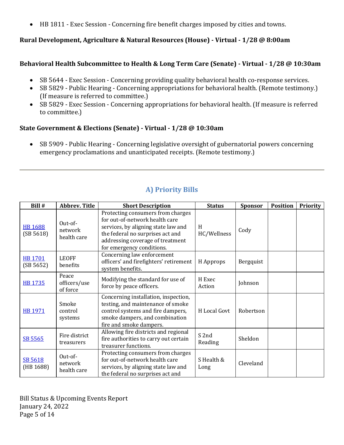• HB 1811 - Exec Session - Concerning fire benefit charges imposed by cities and towns.

#### **Rural Development, Agriculture & Natural Resources (House) - Virtual - 1/28 @ 8:00am**

#### **Behavioral Health Subcommittee to Health & Long Term Care (Senate) - Virtual - 1/28 @ 10:30am**

- SB 5644 Exec Session Concerning providing quality behavioral health co-response services.
- SB 5829 Public Hearing Concerning appropriations for behavioral health. (Remote testimony.) (If measure is referred to committee.)
- SB 5829 Exec Session Concerning appropriations for behavioral health. (If measure is referred to committee.)

### **State Government & Elections (Senate) - Virtual - 1/28 @ 10:30am**

• SB 5909 - Public Hearing - Concerning legislative oversight of gubernatorial powers concerning emergency proclamations and unanticipated receipts. (Remote testimony.)

| Bill #                      | <b>Abbrev. Title</b>              | <b>Short Description</b>                                                                                                                                                                                        | <b>Status</b>      | <b>Sponsor</b> | <b>Position</b> | <b>Priority</b> |
|-----------------------------|-----------------------------------|-----------------------------------------------------------------------------------------------------------------------------------------------------------------------------------------------------------------|--------------------|----------------|-----------------|-----------------|
| <b>HB 1688</b><br>(SB 5618) | Out-of-<br>network<br>health care | Protecting consumers from charges<br>for out-of-network health care<br>services, by aligning state law and<br>the federal no surprises act and<br>addressing coverage of treatment<br>for emergency conditions. | H<br>HC/Wellness   | Cody           |                 |                 |
| <b>HB 1701</b><br>(SB 5652) | <b>LEOFF</b><br>benefits          | Concerning law enforcement<br>officers' and firefighters' retirement<br>system benefits.                                                                                                                        | H Approps          | Bergquist      |                 |                 |
| <b>HB 1735</b>              | Peace<br>officers/use<br>of force | Modifying the standard for use of<br>force by peace officers.                                                                                                                                                   | H Exec<br>Action   | Johnson        |                 |                 |
| <b>HB 1971</b>              | Smoke<br>control<br>systems       | Concerning installation, inspection,<br>testing, and maintenance of smoke<br>control systems and fire dampers,<br>smoke dampers, and combination<br>fire and smoke dampers.                                     | H Local Govt       | Robertson      |                 |                 |
| SB 5565                     | Fire district<br>treasurers       | Allowing fire districts and regional<br>fire authorities to carry out certain<br>treasurer functions.                                                                                                           | S 2nd<br>Reading   | Sheldon        |                 |                 |
| SB 5618<br>(HB 1688)        | Out-of-<br>network<br>health care | Protecting consumers from charges<br>for out-of-network health care<br>services, by aligning state law and<br>the federal no surprises act and                                                                  | S Health &<br>Long | Cleveland      |                 |                 |

# **A) Priority Bills**

Bill Status & Upcoming Events Report January 24, 2022 Page 5 of 14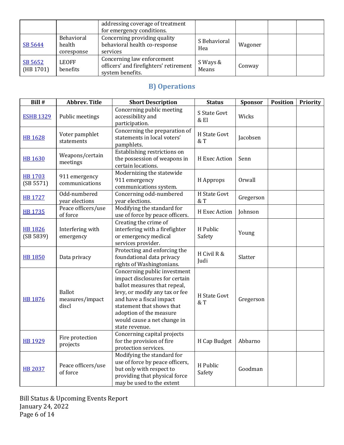|                      |                                    | addressing coverage of treatment<br>for emergency conditions.                            |                     |         |  |
|----------------------|------------------------------------|------------------------------------------------------------------------------------------|---------------------|---------|--|
| SB 5644              | Behavioral<br>health<br>coresponse | Concerning providing quality<br>behavioral health co-response<br>services                | S Behavioral<br>Hea | Wagoner |  |
| SB 5652<br>(HB 1701) | <b>LEOFF</b><br>benefits           | Concerning law enforcement<br>officers' and firefighters' retirement<br>system benefits. | S Ways &<br>Means   | Conway  |  |

# **B) Operations**

| Bill #                      | <b>Abbrev. Title</b>                      | <b>Short Description</b>                                                                                                                                                                                                                                              | <b>Status</b>         | Sponsor   | <b>Position</b> | <b>Priority</b> |
|-----------------------------|-------------------------------------------|-----------------------------------------------------------------------------------------------------------------------------------------------------------------------------------------------------------------------------------------------------------------------|-----------------------|-----------|-----------------|-----------------|
| <b>ESHB 1329</b>            | Public meetings                           | Concerning public meeting<br>accessibility and<br>participation.                                                                                                                                                                                                      | S State Govt<br>& El  | Wicks     |                 |                 |
| <b>HB 1628</b>              | Voter pamphlet<br>statements              | Concerning the preparation of<br>statements in local voters'<br>pamphlets.                                                                                                                                                                                            | H State Govt<br>$&$ T | Jacobsen  |                 |                 |
| <b>HB 1630</b>              | Weapons/certain<br>meetings               | Establishing restrictions on<br>the possession of weapons in<br>certain locations.                                                                                                                                                                                    | H Exec Action         | Senn      |                 |                 |
| <b>HB1703</b><br>(SB 5571)  | 911 emergency<br>communications           | Modernizing the statewide<br>911 emergency<br>communications system.                                                                                                                                                                                                  | H Approps             | Orwall    |                 |                 |
| <b>HB 1727</b>              | Odd-numbered<br>year elections            | Concerning odd-numbered<br>year elections.                                                                                                                                                                                                                            | H State Govt<br>& T   | Gregerson |                 |                 |
| <b>HB 1735</b>              | Peace officers/use<br>of force            | Modifying the standard for<br>use of force by peace officers.                                                                                                                                                                                                         | H Exec Action         | Johnson   |                 |                 |
| <b>HB 1826</b><br>(SB 5839) | Interfering with<br>emergency             | Creating the crime of<br>interfering with a firefighter<br>or emergency medical<br>services provider.                                                                                                                                                                 | H Public<br>Safety    | Young     |                 |                 |
| <b>HB 1850</b>              | Data privacy                              | Protecting and enforcing the<br>foundational data privacy<br>rights of Washingtonians.                                                                                                                                                                                | H Civil R &<br>Judi   | Slatter   |                 |                 |
| <b>HB 1876</b>              | <b>Ballot</b><br>measures/impact<br>discl | Concerning public investment<br>impact disclosures for certain<br>ballot measures that repeal,<br>levy, or modify any tax or fee<br>and have a fiscal impact<br>statement that shows that<br>adoption of the measure<br>would cause a net change in<br>state revenue. | H State Govt<br>$&$ T | Gregerson |                 |                 |
| <b>HB 1929</b>              | Fire protection<br>projects               | Concerning capital projects<br>for the provision of fire<br>protection services.                                                                                                                                                                                      | H Cap Budget          | Abbarno   |                 |                 |
| <b>HB 2037</b>              | Peace officers/use<br>of force            | Modifying the standard for<br>use of force by peace officers,<br>but only with respect to<br>providing that physical force<br>may be used to the extent                                                                                                               | H Public<br>Safety    | Goodman   |                 |                 |

Bill Status & Upcoming Events Report January 24, 2022 Page 6 of 14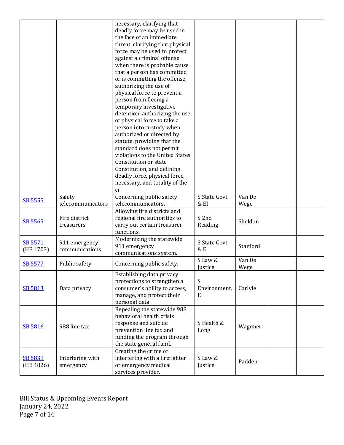|           |                   | necessary, clarifying that                               |              |          |  |
|-----------|-------------------|----------------------------------------------------------|--------------|----------|--|
|           |                   | deadly force may be used in                              |              |          |  |
|           |                   | the face of an immediate                                 |              |          |  |
|           |                   | threat, clarifying that physical                         |              |          |  |
|           |                   | force may be used to protect                             |              |          |  |
|           |                   | against a criminal offense                               |              |          |  |
|           |                   | when there is probable cause                             |              |          |  |
|           |                   |                                                          |              |          |  |
|           |                   | that a person has committed                              |              |          |  |
|           |                   | or is committing the offense,                            |              |          |  |
|           |                   | authorizing the use of                                   |              |          |  |
|           |                   | physical force to prevent a                              |              |          |  |
|           |                   | person from fleeing a                                    |              |          |  |
|           |                   | temporary investigative                                  |              |          |  |
|           |                   | detention, authorizing the use                           |              |          |  |
|           |                   | of physical force to take a                              |              |          |  |
|           |                   | person into custody when                                 |              |          |  |
|           |                   | authorized or directed by                                |              |          |  |
|           |                   | statute, providing that the                              |              |          |  |
|           |                   | standard does not permit                                 |              |          |  |
|           |                   | violations to the United States                          |              |          |  |
|           |                   | Constitution or state                                    |              |          |  |
|           |                   | Constitution, and defining                               |              |          |  |
|           |                   | deadly force, physical force,                            |              |          |  |
|           |                   | necessary, and totality of the                           |              |          |  |
|           |                   | ci                                                       |              |          |  |
|           | Safety            | Concerning public safety                                 | S State Govt | Van De   |  |
| SB 5555   | telecommunicators | telecommunicators.                                       | & El         | Wege     |  |
|           |                   | Allowing fire districts and                              |              |          |  |
|           | Fire district     | regional fire authorities to                             | S 2nd        |          |  |
| SB 5565   | treasurers        | carry out certain treasurer                              | Reading      | Sheldon  |  |
|           |                   | functions.                                               |              |          |  |
|           |                   | Modernizing the statewide                                |              |          |  |
| SB 5571   | 911 emergency     | 911 emergency                                            | S State Govt | Stanford |  |
| (HB 1703) | communications    | communications system.                                   | & E          |          |  |
|           |                   |                                                          | S Law &      | Van De   |  |
| SB 5577   | Public safety     | Concerning public safety.                                | Justice      |          |  |
|           |                   |                                                          |              | Wege     |  |
|           |                   | Establishing data privacy<br>protections to strengthen a | S            |          |  |
|           |                   |                                                          | Environment, | Carlyle  |  |
| SB 5813   | Data privacy      | consumer's ability to access,                            |              |          |  |
|           |                   | manage, and protect their                                | Ε            |          |  |
|           |                   | personal data.                                           |              |          |  |
|           |                   | Repealing the statewide 988                              |              |          |  |
|           |                   | behavioral health crisis                                 |              |          |  |
| SB 5816   | 988 line tax      | response and suicide                                     | S Health &   | Wagoner  |  |
|           |                   | prevention line tax and                                  | Long         |          |  |
|           |                   | funding the program through                              |              |          |  |
|           |                   | the state general fund.                                  |              |          |  |
|           |                   | Creating the crime of                                    |              |          |  |
| SB 5839   | Interfering with  | interfering with a firefighter                           | S Law &      | Padden   |  |
| (HB 1826) | emergency         | or emergency medical                                     | Justice      |          |  |
|           |                   | services provider.                                       |              |          |  |

Bill Status & Upcoming Events Report January 24, 2022 Page 7 of 14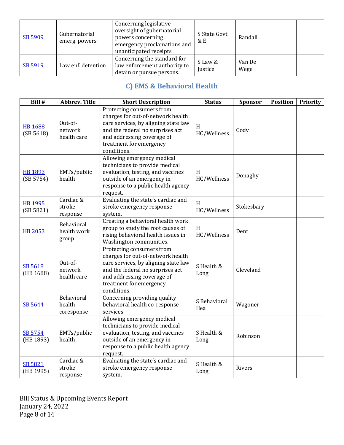| SB 5909 | Gubernatorial<br>emerg. powers | Concerning legislative<br>oversight of gubernatorial<br>powers concerning<br>emergency proclamations and<br>unanticipated receipts. | S State Govt<br>& E | Randall        |  |
|---------|--------------------------------|-------------------------------------------------------------------------------------------------------------------------------------|---------------------|----------------|--|
| SB 5919 | Law enf. detention             | Concerning the standard for<br>law enforcement authority to<br>detain or pursue persons.                                            | S Law &<br>Justice  | Van De<br>Wege |  |

# **C) EMS & Behavioral Health**

| Bill #                      | <b>Abbrev. Title</b>               | <b>Short Description</b>                                                                                                                                                                                           | <b>Status</b>         | Sponsor    | <b>Position</b> | <b>Priority</b> |
|-----------------------------|------------------------------------|--------------------------------------------------------------------------------------------------------------------------------------------------------------------------------------------------------------------|-----------------------|------------|-----------------|-----------------|
| <b>HB1688</b><br>(SB 5618)  | Out-of-<br>network<br>health care  | Protecting consumers from<br>charges for out-of-network health<br>care services, by aligning state law<br>and the federal no surprises act<br>and addressing coverage of<br>treatment for emergency<br>conditions. | H<br>HC/Wellness      | Cody       |                 |                 |
| <b>HB 1893</b><br>(SB 5754) | EMTs/public<br>health              | Allowing emergency medical<br>technicians to provide medical<br>evaluation, testing, and vaccines<br>outside of an emergency in<br>response to a public health agency<br>request.                                  | H<br>HC/Wellness      | Donaghy    |                 |                 |
| <b>HB 1995</b><br>(SB 5821) | Cardiac &<br>stroke<br>response    | Evaluating the state's cardiac and<br>stroke emergency response<br>system.                                                                                                                                         | H<br>HC/Wellness      | Stokesbary |                 |                 |
| <b>HB 2053</b>              | Behavioral<br>health work<br>group | Creating a behavioral health work<br>group to study the root causes of<br>rising behavioral health issues in<br>Washington communities.                                                                            | $\,$ H<br>HC/Wellness | Dent       |                 |                 |
| SB 5618<br>(HB 1688)        | Out-of-<br>network<br>health care  | Protecting consumers from<br>charges for out-of-network health<br>care services, by aligning state law<br>and the federal no surprises act<br>and addressing coverage of<br>treatment for emergency<br>conditions. | S Health &<br>Long    | Cleveland  |                 |                 |
| SB 5644                     | Behavioral<br>health<br>coresponse | Concerning providing quality<br>behavioral health co-response<br>services                                                                                                                                          | S Behavioral<br>Hea   | Wagoner    |                 |                 |
| SB 5754<br>(HB 1893)        | EMTs/public<br>health              | Allowing emergency medical<br>technicians to provide medical<br>evaluation, testing, and vaccines<br>outside of an emergency in<br>response to a public health agency<br>request.                                  | S Health &<br>Long    | Robinson   |                 |                 |
| SB 5821<br>(HB 1995)        | Cardiac &<br>stroke<br>response    | Evaluating the state's cardiac and<br>stroke emergency response<br>system.                                                                                                                                         | S Health &<br>Long    | Rivers     |                 |                 |

Bill Status & Upcoming Events Report January 24, 2022 Page 8 of 14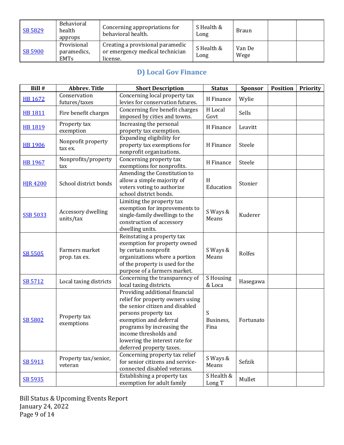| SB 5829 | Behavioral<br>health<br>approps           | Concerning appropriations for<br>behavioral health.                             | S Health &<br>Long | <b>Braun</b>   |  |
|---------|-------------------------------------------|---------------------------------------------------------------------------------|--------------------|----------------|--|
| SB 5900 | Provisional<br>paramedics,<br><b>EMTs</b> | Creating a provisional paramedic<br>or emergency medical technician<br>license. | S Health &<br>Long | Van De<br>Wege |  |

# **D) Local Gov Finance**

| Bill #          | <b>Abbrev. Title</b>            | <b>Short Description</b>                                                                                                                                                                                                                                                     | <b>Status</b>          | Sponsor   | <b>Position</b> | <b>Priority</b> |
|-----------------|---------------------------------|------------------------------------------------------------------------------------------------------------------------------------------------------------------------------------------------------------------------------------------------------------------------------|------------------------|-----------|-----------------|-----------------|
| <b>HB 1672</b>  | Conservation<br>futures/taxes   | Concerning local property tax<br>levies for conservation futures.                                                                                                                                                                                                            | H Finance              | Wylie     |                 |                 |
| <b>HB 1811</b>  | Fire benefit charges            | Concerning fire benefit charges<br>imposed by cities and towns.                                                                                                                                                                                                              | H Local<br>Govt        | Sells     |                 |                 |
| <b>HB 1819</b>  | Property tax<br>exemption       | Increasing the personal<br>property tax exemption.                                                                                                                                                                                                                           | H Finance              | Leavitt   |                 |                 |
| <b>HB 1906</b>  | Nonprofit property<br>tax ex.   | Expanding eligibility for<br>property tax exemptions for<br>nonprofit organizations.                                                                                                                                                                                         | H Finance              | Steele    |                 |                 |
| <b>HB 1967</b>  | Nonprofits/property<br>tax      | Concerning property tax<br>exemptions for nonprofits.                                                                                                                                                                                                                        | H Finance              | Steele    |                 |                 |
| <b>HJR 4200</b> | School district bonds           | Amending the Constitution to<br>allow a simple majority of<br>voters voting to authorize<br>school district bonds.                                                                                                                                                           | H<br>Education         | Stonier   |                 |                 |
| <b>SSB 5033</b> | Accessory dwelling<br>units/tax | Limiting the property tax<br>exemption for improvements to<br>single-family dwellings to the<br>construction of accessory<br>dwelling units.                                                                                                                                 | S Ways &<br>Means      | Kuderer   |                 |                 |
| <b>SB 5505</b>  | Farmers market<br>prop. tax ex. | Reinstating a property tax<br>exemption for property owned<br>by certain nonprofit<br>organizations where a portion<br>of the property is used for the<br>purpose of a farmers market.                                                                                       | S Ways &<br>Means      | Rolfes    |                 |                 |
| SB 5712         | Local taxing districts          | Concerning the transparency of<br>local taxing districts.                                                                                                                                                                                                                    | S Housing<br>& Loca    | Hasegawa  |                 |                 |
| <b>SB 5802</b>  | Property tax<br>exemptions      | Providing additional financial<br>relief for property owners using<br>the senior citizen and disabled<br>persons property tax<br>exemption and deferral<br>programs by increasing the<br>income thresholds and<br>lowering the interest rate for<br>deferred property taxes. | S<br>Business,<br>Fina | Fortunato |                 |                 |
| SB 5913         | Property tax/senior,<br>veteran | Concerning property tax relief<br>for senior citizens and service-<br>connected disabled veterans.                                                                                                                                                                           | S Ways &<br>Means      | Sefzik    |                 |                 |
| SB 5935         |                                 | Establishing a property tax<br>exemption for adult family                                                                                                                                                                                                                    | S Health &<br>Long T   | Mullet    |                 |                 |

Bill Status & Upcoming Events Report January 24, 2022 Page 9 of 14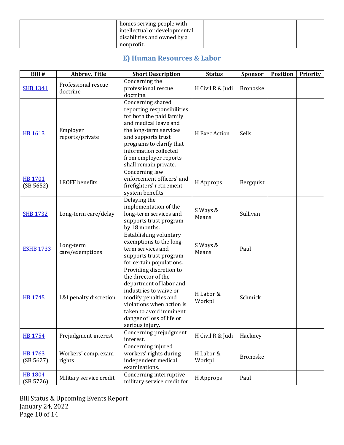|  | homes serving people with<br>intellectual or developmental |  |  |
|--|------------------------------------------------------------|--|--|
|  | disabilities and owned by a                                |  |  |
|  | nonprofit.                                                 |  |  |

# **E) Human Resources & Labor**

| Bill #                      | <b>Abbrev. Title</b>            | <b>Short Description</b>                                                                                                                                                                                                                                    | <b>Status</b>       | Sponsor         | <b>Position</b> | <b>Priority</b> |
|-----------------------------|---------------------------------|-------------------------------------------------------------------------------------------------------------------------------------------------------------------------------------------------------------------------------------------------------------|---------------------|-----------------|-----------------|-----------------|
| <b>SHB 1341</b>             | Professional rescue<br>doctrine | Concerning the<br>professional rescue<br>doctrine.                                                                                                                                                                                                          | H Civil R & Judi    | <b>Bronoske</b> |                 |                 |
| <b>HB 1613</b>              | Employer<br>reports/private     | Concerning shared<br>reporting responsibilities<br>for both the paid family<br>and medical leave and<br>the long-term services<br>and supports trust<br>programs to clarify that<br>information collected<br>from employer reports<br>shall remain private. | H Exec Action       | Sells           |                 |                 |
| <b>HB 1701</b><br>(SB 5652) | <b>LEOFF</b> benefits           | Concerning law<br>enforcement officers' and<br>firefighters' retirement<br>system benefits.                                                                                                                                                                 | H Approps           | Bergquist       |                 |                 |
| <b>SHB 1732</b>             | Long-term care/delay            | Delaying the<br>implementation of the<br>long-term services and<br>supports trust program<br>by 18 months.                                                                                                                                                  | S Ways &<br>Means   | Sullivan        |                 |                 |
| <b>ESHB 1733</b>            | Long-term<br>care/exemptions    | Establishing voluntary<br>exemptions to the long-<br>term services and<br>supports trust program<br>for certain populations.                                                                                                                                | S Ways &<br>Means   | Paul            |                 |                 |
| <b>HB 1745</b>              | L&I penalty discretion          | Providing discretion to<br>the director of the<br>department of labor and<br>industries to waive or<br>modify penalties and<br>violations when action is<br>taken to avoid imminent<br>danger of loss of life or<br>serious injury.                         | H Labor &<br>Workpl | Schmick         |                 |                 |
| <b>HB 1754</b>              | Prejudgment interest            | Concerning prejudgment<br>interest.                                                                                                                                                                                                                         | H Civil R & Judi    | Hackney         |                 |                 |
| HB 1763<br>(SB 5627)        | Workers' comp. exam<br>rights   | Concerning injured<br>workers' rights during<br>independent medical<br>examinations.                                                                                                                                                                        | H Labor &<br>Workpl | <b>Bronoske</b> |                 |                 |
| <b>HB 1804</b><br>(SB 5726) | Military service credit         | Concerning interruptive<br>military service credit for                                                                                                                                                                                                      | H Approps           | Paul            |                 |                 |

Bill Status & Upcoming Events Report January 24, 2022 Page 10 of 14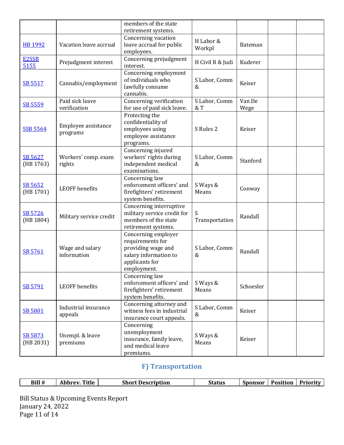|                      |                                 | members of the state<br>retirement systems.                                                                             |                        |                |  |
|----------------------|---------------------------------|-------------------------------------------------------------------------------------------------------------------------|------------------------|----------------|--|
| HB 1992              | Vacation leave accrual          | Concerning vacation<br>leave accrual for public<br>employees.                                                           | H Labor &<br>Workpl    | Bateman        |  |
| E2SSB<br>5155        | Prejudgment interest            | Concerning prejudgment<br>interest.                                                                                     | H Civil R & Judi       | Kuderer        |  |
| SB 5517              | Cannabis/employment             | Concerning employment<br>of individuals who<br>lawfully consume<br>cannabis.                                            | S Labor, Comm<br>&     | Keiser         |  |
| SB 5559              | Paid sick leave<br>verification | Concerning verification<br>for use of paid sick leave.                                                                  | S Labor, Comm<br>$&$ T | Van De<br>Wege |  |
| <b>SSB 5564</b>      | Employee assistance<br>programs | Protecting the<br>confidentiality of<br>employees using<br>employee assistance<br>programs.                             | S Rules 2              | Keiser         |  |
| SB 5627<br>(HB 1763) | Workers' comp. exam<br>rights   | Concerning injured<br>workers' rights during<br>independent medical<br>examinations.                                    | S Labor, Comm<br>&     | Stanford       |  |
| SB 5652<br>(HB 1701) | <b>LEOFF</b> benefits           | Concerning law<br>enforcement officers' and<br>firefighters' retirement<br>system benefits.                             | S Ways &<br>Means      | Conway         |  |
| SB 5726<br>(HB 1804) | Military service credit         | Concerning interruptive<br>military service credit for<br>members of the state<br>retirement systems.                   | S<br>Transportation    | Randall        |  |
| SB 5761              | Wage and salary<br>information  | Concerning employer<br>requirements for<br>providing wage and<br>salary information to<br>applicants for<br>employment. | S Labor, Comm<br>&     | Randall        |  |
| SB 5791              | <b>LEOFF</b> benefits           | Concerning law<br>enforcement officers' and<br>firefighters' retirement<br>system benefits.                             | S Ways &<br>Means      | Schoesler      |  |
| SB 5801              | Industrial insurance<br>appeals | Concerning attorney and<br>witness fees in industrial<br>insurance court appeals.                                       | S Labor, Comm<br>&     | Keiser         |  |
| SB 5873<br>(HB 2031) | Unempl. & leave<br>premiums     | Concerning<br>unemployment<br>insurance, family leave,<br>and medical leave<br>premiums.                                | S Ways &<br>Means      | Keiser         |  |

# **F) Transportation**

| Bill # | <b>Title</b><br>Abbrev. | <b>Short Description</b> | <b>C</b> .<br><b>Status</b> | <b>Sponsor</b> | Position | - Priorit <sup>-</sup> |
|--------|-------------------------|--------------------------|-----------------------------|----------------|----------|------------------------|
|        |                         |                          |                             |                |          |                        |

Bill Status & Upcoming Events Report January 24, 2022 Page 11 of 14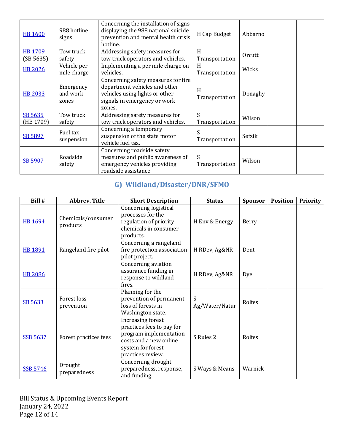| <b>HB 1600</b>       | 988 hotline<br>signs           | Concerning the installation of signs<br>displaying the 988 national suicide<br>prevention and mental health crisis<br>hotline.                   | H Cap Budget         | Abbarno |
|----------------------|--------------------------------|--------------------------------------------------------------------------------------------------------------------------------------------------|----------------------|---------|
| HB 1709<br>(SB 5635) | Tow truck<br>safety            | Addressing safety measures for<br>tow truck operators and vehicles.                                                                              | H<br>Transportation  | Orcutt  |
| <b>HB 2026</b>       | Vehicle per<br>mile charge     | Implementing a per mile charge on<br>vehicles.                                                                                                   | H<br>Transportation  | Wicks   |
| <b>HB 2033</b>       | Emergency<br>and work<br>zones | Concerning safety measures for fire<br>department vehicles and other<br>vehicles using lights or other<br>signals in emergency or work<br>zones. | H<br>Transportation  | Donaghy |
| SB 5635<br>(HB 1709) | Tow truck<br>safety            | Addressing safety measures for<br>tow truck operators and vehicles.                                                                              | S.<br>Transportation | Wilson  |
| SB 5897              | Fuel tax<br>suspension         | Concerning a temporary<br>suspension of the state motor<br>vehicle fuel tax.                                                                     | S<br>Transportation  | Sefzik  |
| SB 5907              | Roadside<br>safety             | Concerning roadside safety<br>measures and public awareness of<br>emergency vehicles providing<br>roadside assistance.                           | S<br>Transportation  | Wilson  |

# **G) Wildland/Disaster/DNR/SFMO**

| Bill #          | <b>Abbrev. Title</b>           | <b>Short Description</b>                                                                                                                     | <b>Status</b>       | <b>Sponsor</b> | <b>Position</b> | Priority |
|-----------------|--------------------------------|----------------------------------------------------------------------------------------------------------------------------------------------|---------------------|----------------|-----------------|----------|
| <b>HB 1694</b>  | Chemicals/consumer<br>products | Concerning logistical<br>processes for the<br>regulation of priority<br>chemicals in consumer<br>products.                                   | H Env & Energy      | Berry          |                 |          |
| <b>HB 1891</b>  | Rangeland fire pilot           | Concerning a rangeland<br>fire protection association<br>pilot project.                                                                      | H RDev, Ag&NR       | Dent           |                 |          |
| <b>HB 2086</b>  |                                | Concerning aviation<br>assurance funding in<br>response to wildland<br>fires.                                                                | H RDev, Ag&NR       | Dye            |                 |          |
| SB 5633         | Forest loss<br>prevention      | Planning for the<br>prevention of permanent<br>loss of forests in<br>Washington state.                                                       | S<br>Ag/Water/Natur | Rolfes         |                 |          |
| <b>SSB 5637</b> | Forest practices fees          | Increasing forest<br>practices fees to pay for<br>program implementation<br>costs and a new online<br>system for forest<br>practices review. | S Rules 2           | Rolfes         |                 |          |
| <b>SSB 5746</b> | Drought<br>preparedness        | Concerning drought<br>preparedness, response,<br>and funding.                                                                                | S Ways & Means      | Warnick        |                 |          |

Bill Status & Upcoming Events Report January 24, 2022 Page 12 of 14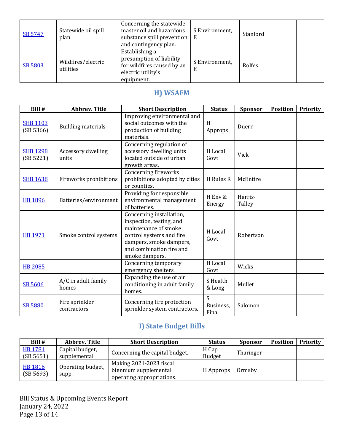| SB 5747 | Statewide oil spill<br>plan     | Concerning the statewide<br>master oil and hazardous<br>substance spill prevention<br>and contingency plan.  | S Environment,<br>Е | Stanford |  |
|---------|---------------------------------|--------------------------------------------------------------------------------------------------------------|---------------------|----------|--|
| SB 5803 | Wildfires/electric<br>utilities | Establishing a<br>presumption of liability<br>for wildfires caused by an<br>electric utility's<br>equipment. | S Environment,<br>E | Rolfes   |  |

# **H) WSAFM**

| Bill #                       | <b>Abbrev. Title</b>          | <b>Short Description</b>                                                                                                                                                          | <b>Status</b>          | <b>Sponsor</b>    | <b>Position</b> | <b>Priority</b> |
|------------------------------|-------------------------------|-----------------------------------------------------------------------------------------------------------------------------------------------------------------------------------|------------------------|-------------------|-----------------|-----------------|
| <b>SHB 1103</b><br>(SB 5366) | <b>Building materials</b>     | Improving environmental and<br>social outcomes with the<br>production of building<br>materials.                                                                                   | H<br>Approps           | Duerr             |                 |                 |
| <b>SHB 1298</b><br>(SB 5221) | Accessory dwelling<br>units   | Concerning regulation of<br>accessory dwelling units<br>located outside of urban<br>growth areas.                                                                                 | H Local<br>Govt        | Vick              |                 |                 |
| <b>SHB 1638</b>              | Fireworks prohibitions        | Concerning fireworks<br>prohibitions adopted by cities<br>or counties.                                                                                                            | H Rules R              | McEntire          |                 |                 |
| <b>HB 1896</b>               | Batteries/environment         | Providing for responsible<br>environmental management<br>of batteries.                                                                                                            | H Env &<br>Energy      | Harris-<br>Talley |                 |                 |
| <b>HB 1971</b>               | Smoke control systems         | Concerning installation,<br>inspection, testing, and<br>maintenance of smoke<br>control systems and fire<br>dampers, smoke dampers,<br>and combination fire and<br>smoke dampers. | H Local<br>Govt        | Robertson         |                 |                 |
| <b>HB 2085</b>               |                               | Concerning temporary<br>emergency shelters.                                                                                                                                       | H Local<br>Govt        | Wicks             |                 |                 |
| SB 5606                      | A/C in adult family<br>homes  | Expanding the use of air<br>conditioning in adult family<br>homes.                                                                                                                | S Health<br>& Long     | Mullet            |                 |                 |
| <b>SB 5880</b>               | Fire sprinkler<br>contractors | Concerning fire protection<br>sprinkler system contractors.                                                                                                                       | S<br>Business,<br>Fina | Salomon           |                 |                 |

# **I) State Budget Bills**

| Bill #                      | Abbrev. Title                   | <b>Short Description</b>                                                      | <b>Status</b>   | <b>Sponsor</b> | <b>Position</b> | Priority |
|-----------------------------|---------------------------------|-------------------------------------------------------------------------------|-----------------|----------------|-----------------|----------|
| HB 1781<br>(SB 5651)        | Capital budget,<br>supplemental | Concerning the capital budget.                                                | H Cap<br>Budget | Tharinger      |                 |          |
| <b>HB 1816</b><br>(SB 5693) | Operating budget,<br>supp.      | Making 2021-2023 fiscal<br>biennium supplemental<br>operating appropriations. | H Approps       | Ormsby         |                 |          |

Bill Status & Upcoming Events Report January 24, 2022 Page 13 of 14